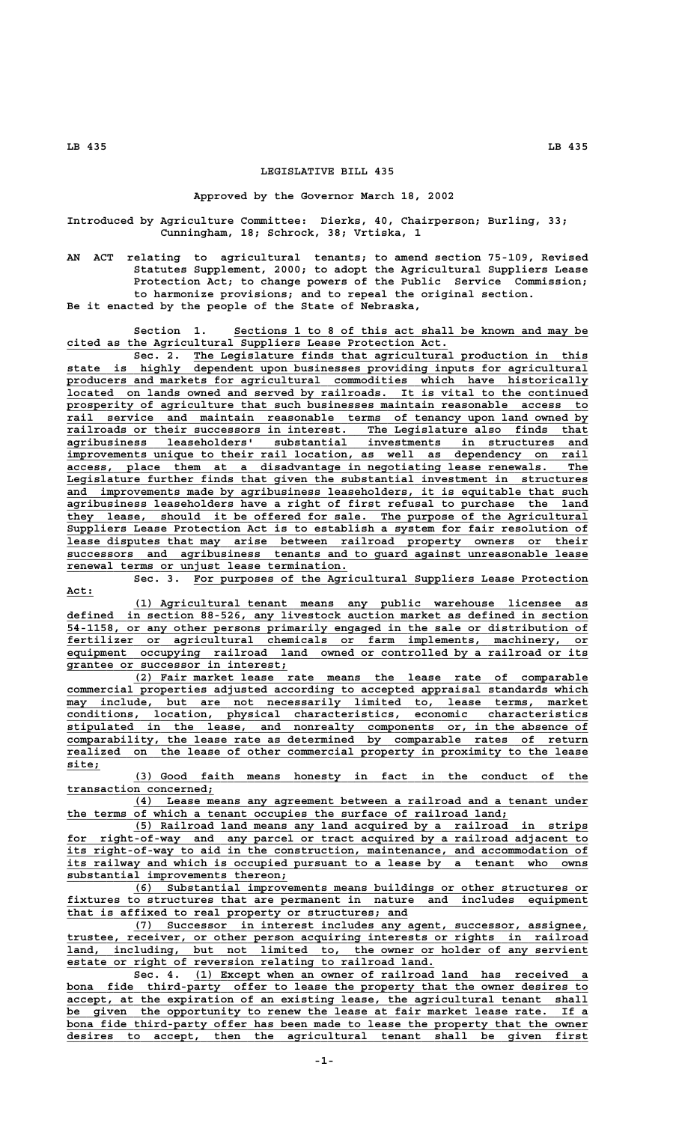## **LEGISLATIVE BILL 435**

## **Approved by the Governor March 18, 2002**

**Introduced by Agriculture Committee: Dierks, 40, Chairperson; Burling, 33; Cunningham, 18; Schrock, 38; Vrtiska, 1**

**AN ACT relating to agricultural tenants; to amend section 75-109, Revised Statutes Supplement, 2000; to adopt the Agricultural Suppliers Lease Protection Act; to change powers of the Public Service Commission; to harmonize provisions; and to repeal the original section. Be it enacted by the people of the State of Nebraska,**

Section 1. Sections 1 to 8 of this act shall be known and may be  **\_\_\_\_\_\_\_\_\_\_\_\_\_\_\_\_\_\_\_\_\_\_\_\_\_\_\_\_\_\_\_\_\_\_\_\_\_\_\_\_\_\_\_\_\_\_\_\_\_\_\_\_\_\_\_\_\_ cited as the Agricultural Suppliers Lease Protection Act.**

Sec. 2. The Legislature finds that agricultural production in this  **\_\_\_\_\_\_\_\_\_\_\_\_\_\_\_\_\_\_\_\_\_\_\_\_\_\_\_\_\_\_\_\_\_\_\_\_\_\_\_\_\_\_\_\_\_\_\_\_\_\_\_\_\_\_\_\_\_\_\_\_\_\_\_\_\_\_\_\_\_\_\_\_\_\_\_\_\_\_ state is highly dependent upon businesses providing inputs for agricultural \_\_\_\_\_\_\_\_\_\_\_\_\_\_\_\_\_\_\_\_\_\_\_\_\_\_\_\_\_\_\_\_\_\_\_\_\_\_\_\_\_\_\_\_\_\_\_\_\_\_\_\_\_\_\_\_\_\_\_\_\_\_\_\_\_\_\_\_\_\_\_\_\_\_\_\_\_\_ producers and markets for agricultural commodities which have historically \_\_\_\_\_\_\_\_\_\_\_\_\_\_\_\_\_\_\_\_\_\_\_\_\_\_\_\_\_\_\_\_\_\_\_\_\_\_\_\_\_\_\_\_\_\_\_\_\_\_\_\_\_\_\_\_\_\_\_\_\_\_\_\_\_\_\_\_\_\_\_\_\_\_\_\_\_\_ located on lands owned and served by railroads. It is vital to the continued \_\_\_\_\_\_\_\_\_\_\_\_\_\_\_\_\_\_\_\_\_\_\_\_\_\_\_\_\_\_\_\_\_\_\_\_\_\_\_\_\_\_\_\_\_\_\_\_\_\_\_\_\_\_\_\_\_\_\_\_\_\_\_\_\_\_\_\_\_\_\_\_\_\_\_\_\_\_ prosperity of agriculture that such businesses maintain reasonable access to \_\_\_\_\_\_\_\_\_\_\_\_\_\_\_\_\_\_\_\_\_\_\_\_\_\_\_\_\_\_\_\_\_\_\_\_\_\_\_\_\_\_\_\_\_\_\_\_\_\_\_\_\_\_\_\_\_\_\_\_\_\_\_\_\_\_\_\_\_\_\_\_\_\_\_\_\_\_ rail service and maintain reasonable terms of tenancy upon land owned by**  $r$ ailroads or their successors in interest. The Legislature also finds that  **\_\_\_\_\_\_\_\_\_\_\_\_\_\_\_\_\_\_\_\_\_\_\_\_\_\_\_\_\_\_\_\_\_\_\_\_\_\_\_\_\_\_\_\_\_\_\_\_\_\_\_\_\_\_\_\_\_\_\_\_\_\_\_\_\_\_\_\_\_\_\_\_\_\_\_\_\_\_ agribusiness leaseholders' substantial investments in structures and \_\_\_\_\_\_\_\_\_\_\_\_\_\_\_\_\_\_\_\_\_\_\_\_\_\_\_\_\_\_\_\_\_\_\_\_\_\_\_\_\_\_\_\_\_\_\_\_\_\_\_\_\_\_\_\_\_\_\_\_\_\_\_\_\_\_\_\_\_\_\_\_\_\_\_\_\_\_ improvements unique to their rail location, as well as dependency on rail \_\_\_\_\_\_\_\_\_\_\_\_\_\_\_\_\_\_\_\_\_\_\_\_\_\_\_\_\_\_\_\_\_\_\_\_\_\_\_\_\_\_\_\_\_\_\_\_\_\_\_\_\_\_\_\_\_\_\_\_\_\_\_\_\_\_\_\_\_\_\_\_\_\_\_\_\_\_ access, place them at a disadvantage in negotiating lease renewals. The \_\_\_\_\_\_\_\_\_\_\_\_\_\_\_\_\_\_\_\_\_\_\_\_\_\_\_\_\_\_\_\_\_\_\_\_\_\_\_\_\_\_\_\_\_\_\_\_\_\_\_\_\_\_\_\_\_\_\_\_\_\_\_\_\_\_\_\_\_\_\_\_\_\_\_\_\_\_ Legislature further finds that given the substantial investment in structures \_\_\_\_\_\_\_\_\_\_\_\_\_\_\_\_\_\_\_\_\_\_\_\_\_\_\_\_\_\_\_\_\_\_\_\_\_\_\_\_\_\_\_\_\_\_\_\_\_\_\_\_\_\_\_\_\_\_\_\_\_\_\_\_\_\_\_\_\_\_\_\_\_\_\_\_\_\_ and improvements made by agribusiness leaseholders, it is equitable that such \_\_\_\_\_\_\_\_\_\_\_\_\_\_\_\_\_\_\_\_\_\_\_\_\_\_\_\_\_\_\_\_\_\_\_\_\_\_\_\_\_\_\_\_\_\_\_\_\_\_\_\_\_\_\_\_\_\_\_\_\_\_\_\_\_\_\_\_\_\_\_\_\_\_\_\_\_\_ agribusiness leaseholders have a right of first refusal to purchase the land \_\_\_\_\_\_\_\_\_\_\_\_\_\_\_\_\_\_\_\_\_\_\_\_\_\_\_\_\_\_\_\_\_\_\_\_\_\_\_\_\_\_\_\_\_\_\_\_\_\_\_\_\_\_\_\_\_\_\_\_\_\_\_\_\_\_\_\_\_\_\_\_\_\_\_\_\_\_ they lease, should it be offered for sale. The purpose of the Agricultural \_\_\_\_\_\_\_\_\_\_\_\_\_\_\_\_\_\_\_\_\_\_\_\_\_\_\_\_\_\_\_\_\_\_\_\_\_\_\_\_\_\_\_\_\_\_\_\_\_\_\_\_\_\_\_\_\_\_\_\_\_\_\_\_\_\_\_\_\_\_\_\_\_\_\_\_\_\_ Suppliers Lease Protection Act is to establish a system for fair resolution of \_\_\_\_\_\_\_\_\_\_\_\_\_\_\_\_\_\_\_\_\_\_\_\_\_\_\_\_\_\_\_\_\_\_\_\_\_\_\_\_\_\_\_\_\_\_\_\_\_\_\_\_\_\_\_\_\_\_\_\_\_\_\_\_\_\_\_\_\_\_\_\_\_\_\_\_\_\_ lease disputes that may arise between railroad property owners or their \_\_\_\_\_\_\_\_\_\_\_\_\_\_\_\_\_\_\_\_\_\_\_\_\_\_\_\_\_\_\_\_\_\_\_\_\_\_\_\_\_\_\_\_\_\_\_\_\_\_\_\_\_\_\_\_\_\_\_\_\_\_\_\_\_\_\_\_\_\_\_\_\_\_\_\_\_\_ successors and agribusiness tenants and to guard against unreasonable lease \_\_\_\_\_\_\_\_\_\_\_\_\_\_\_\_\_\_\_\_\_\_\_\_\_\_\_\_\_\_\_\_\_\_\_\_\_\_\_\_\_\_ renewal terms or unjust lease termination.**

 **Act:\_\_\_\_**

 **\_\_\_\_\_\_\_\_\_\_\_\_\_\_\_\_\_\_\_\_\_\_\_\_\_\_\_\_\_\_\_\_\_\_\_\_\_\_\_\_\_\_\_\_\_\_\_\_\_\_\_\_\_\_\_\_\_\_\_ Sec. 3. For purposes of the Agricultural Suppliers Lease Protection**

 **\_\_\_\_\_\_\_\_\_\_\_\_\_\_\_\_\_\_\_\_\_\_\_\_\_\_\_\_\_\_\_\_\_\_\_\_\_\_\_\_\_\_\_\_\_\_\_\_\_\_\_\_\_\_\_\_\_\_\_\_\_\_\_\_\_\_\_\_ (1) Agricultural tenant means any public warehouse licensee as \_\_\_\_\_\_\_\_\_\_\_\_\_\_\_\_\_\_\_\_\_\_\_\_\_\_\_\_\_\_\_\_\_\_\_\_\_\_\_\_\_\_\_\_\_\_\_\_\_\_\_\_\_\_\_\_\_\_\_\_\_\_\_\_\_\_\_\_\_\_\_\_\_\_\_\_\_\_ defined in section 88-526, any livestock auction market as defined in section \_\_\_\_\_\_\_\_\_\_\_\_\_\_\_\_\_\_\_\_\_\_\_\_\_\_\_\_\_\_\_\_\_\_\_\_\_\_\_\_\_\_\_\_\_\_\_\_\_\_\_\_\_\_\_\_\_\_\_\_\_\_\_\_\_\_\_\_\_\_\_\_\_\_\_\_\_\_ 54-1158, or any other persons primarily engaged in the sale or distribution of \_\_\_\_\_\_\_\_\_\_\_\_\_\_\_\_\_\_\_\_\_\_\_\_\_\_\_\_\_\_\_\_\_\_\_\_\_\_\_\_\_\_\_\_\_\_\_\_\_\_\_\_\_\_\_\_\_\_\_\_\_\_\_\_\_\_\_\_\_\_\_\_\_\_\_\_\_\_ fertilizer or agricultural chemicals or farm implements, machinery, or** equipment occupying railroad land owned or controlled by a railroad or its  **\_\_\_\_\_\_\_\_\_\_\_\_\_\_\_\_\_\_\_\_\_\_\_\_\_\_\_\_\_\_\_\_\_ grantee or successor in interest;**

 **\_\_\_\_\_\_\_\_\_\_\_\_\_\_\_\_\_\_\_\_\_\_\_\_\_\_\_\_\_\_\_\_\_\_\_\_\_\_\_\_\_\_\_\_\_\_\_\_\_\_\_\_\_\_\_\_\_\_\_\_\_\_\_\_\_\_\_\_ (2) Fair market lease rate means the lease rate of comparable \_\_\_\_\_\_\_\_\_\_\_\_\_\_\_\_\_\_\_\_\_\_\_\_\_\_\_\_\_\_\_\_\_\_\_\_\_\_\_\_\_\_\_\_\_\_\_\_\_\_\_\_\_\_\_\_\_\_\_\_\_\_\_\_\_\_\_\_\_\_\_\_\_\_\_\_\_\_ commercial properties adjusted according to accepted appraisal standards which \_\_\_\_\_\_\_\_\_\_\_\_\_\_\_\_\_\_\_\_\_\_\_\_\_\_\_\_\_\_\_\_\_\_\_\_\_\_\_\_\_\_\_\_\_\_\_\_\_\_\_\_\_\_\_\_\_\_\_\_\_\_\_\_\_\_\_\_\_\_\_\_\_\_\_\_\_\_ may include, but are not necessarily limited to, lease terms, market \_\_\_\_\_\_\_\_\_\_\_\_\_\_\_\_\_\_\_\_\_\_\_\_\_\_\_\_\_\_\_\_\_\_\_\_\_\_\_\_\_\_\_\_\_\_\_\_\_\_\_\_\_\_\_\_\_\_\_\_\_\_\_\_\_\_\_\_\_\_\_\_\_\_\_\_\_\_ conditions, location, physical characteristics, economic characteristics \_\_\_\_\_\_\_\_\_\_\_\_\_\_\_\_\_\_\_\_\_\_\_\_\_\_\_\_\_\_\_\_\_\_\_\_\_\_\_\_\_\_\_\_\_\_\_\_\_\_\_\_\_\_\_\_\_\_\_\_\_\_\_\_\_\_\_\_\_\_\_\_\_\_\_\_\_\_ stipulated in the lease, and nonrealty components or, in the absence of \_\_\_\_\_\_\_\_\_\_\_\_\_\_\_\_\_\_\_\_\_\_\_\_\_\_\_\_\_\_\_\_\_\_\_\_\_\_\_\_\_\_\_\_\_\_\_\_\_\_\_\_\_\_\_\_\_\_\_\_\_\_\_\_\_\_\_\_\_\_\_\_\_\_\_\_\_\_ comparability, the lease rate as determined by comparable rates of return \_\_\_\_\_\_\_\_\_\_\_\_\_\_\_\_\_\_\_\_\_\_\_\_\_\_\_\_\_\_\_\_\_\_\_\_\_\_\_\_\_\_\_\_\_\_\_\_\_\_\_\_\_\_\_\_\_\_\_\_\_\_\_\_\_\_\_\_\_\_\_\_\_\_\_\_\_\_ realized on the lease of other commercial property in proximity to the lease site;\_\_\_\_\_**

> **\_\_\_\_\_\_\_\_\_\_\_\_\_\_\_\_\_\_\_\_\_\_\_\_\_\_\_\_\_\_\_\_\_\_\_\_\_\_\_\_\_\_\_\_\_\_\_\_\_\_\_\_\_\_\_\_\_\_\_\_\_\_\_\_\_\_\_\_ (3) Good faith means honesty in fact in the conduct of the transaction concerned; \_\_\_\_\_\_\_\_\_\_\_\_\_\_\_\_\_\_\_\_\_\_**

> **\_\_\_\_\_\_\_\_\_\_\_\_\_\_\_\_\_\_\_\_\_\_\_\_\_\_\_\_\_\_\_\_\_\_\_\_\_\_\_\_\_\_\_\_\_\_\_\_\_\_\_\_\_\_\_\_\_\_\_\_\_\_\_\_\_\_\_\_ (4) Lease means any agreement between a railroad and a tenant under \_\_\_\_\_\_\_\_\_\_\_\_\_\_\_\_\_\_\_\_\_\_\_\_\_\_\_\_\_\_\_\_\_\_\_\_\_\_\_\_\_\_\_\_\_\_\_\_\_\_\_\_\_\_\_\_\_\_\_\_\_\_\_\_\_\_ the terms of which a tenant occupies the surface of railroad land;**

 **\_\_\_\_\_\_\_\_\_\_\_\_\_\_\_\_\_\_\_\_\_\_\_\_\_\_\_\_\_\_\_\_\_\_\_\_\_\_\_\_\_\_\_\_\_\_\_\_\_\_\_\_\_\_\_\_\_\_\_\_\_\_\_\_\_\_\_\_ (5) Railroad land means any land acquired by a railroad in strips \_\_\_\_\_\_\_\_\_\_\_\_\_\_\_\_\_\_\_\_\_\_\_\_\_\_\_\_\_\_\_\_\_\_\_\_\_\_\_\_\_\_\_\_\_\_\_\_\_\_\_\_\_\_\_\_\_\_\_\_\_\_\_\_\_\_\_\_\_\_\_\_\_\_\_\_\_\_ for right-of-way and any parcel or tract acquired by a railroad adjacent to \_\_\_\_\_\_\_\_\_\_\_\_\_\_\_\_\_\_\_\_\_\_\_\_\_\_\_\_\_\_\_\_\_\_\_\_\_\_\_\_\_\_\_\_\_\_\_\_\_\_\_\_\_\_\_\_\_\_\_\_\_\_\_\_\_\_\_\_\_\_\_\_\_\_\_\_\_\_ its right-of-way to aid in the construction, maintenance, and accommodation of \_\_\_\_\_\_\_\_\_\_\_\_\_\_\_\_\_\_\_\_\_\_\_\_\_\_\_\_\_\_\_\_\_\_\_\_\_\_\_\_\_\_\_\_\_\_\_\_\_\_\_\_\_\_\_\_\_\_\_\_\_\_\_\_\_\_\_\_\_\_\_\_\_\_\_\_\_\_ its railway and which is occupied pursuant to a lease by a tenant who owns \_\_\_\_\_\_\_\_\_\_\_\_\_\_\_\_\_\_\_\_\_\_\_\_\_\_\_\_\_\_\_\_\_ substantial improvements thereon;**

 **\_\_\_\_\_\_\_\_\_\_\_\_\_\_\_\_\_\_\_\_\_\_\_\_\_\_\_\_\_\_\_\_\_\_\_\_\_\_\_\_\_\_\_\_\_\_\_\_\_\_\_\_\_\_\_\_\_\_\_\_\_\_\_\_\_\_\_\_ (6) Substantial improvements means buildings or other structures or \_\_\_\_\_\_\_\_\_\_\_\_\_\_\_\_\_\_\_\_\_\_\_\_\_\_\_\_\_\_\_\_\_\_\_\_\_\_\_\_\_\_\_\_\_\_\_\_\_\_\_\_\_\_\_\_\_\_\_\_\_\_\_\_\_\_\_\_\_\_\_\_\_\_\_\_\_\_ fixtures to structures that are permanent in nature and includes equipment \_\_\_\_\_\_\_\_\_\_\_\_\_\_\_\_\_\_\_\_\_\_\_\_\_\_\_\_\_\_\_\_\_\_\_\_\_\_\_\_\_\_\_\_\_\_\_\_\_\_\_ that is affixed to real property or structures; and**

 **\_\_\_\_\_\_\_\_\_\_\_\_\_\_\_\_\_\_\_\_\_\_\_\_\_\_\_\_\_\_\_\_\_\_\_\_\_\_\_\_\_\_\_\_\_\_\_\_\_\_\_\_\_\_\_\_\_\_\_\_\_\_\_\_\_\_\_\_ (7) Successor in interest includes any agent, successor, assignee, \_\_\_\_\_\_\_\_\_\_\_\_\_\_\_\_\_\_\_\_\_\_\_\_\_\_\_\_\_\_\_\_\_\_\_\_\_\_\_\_\_\_\_\_\_\_\_\_\_\_\_\_\_\_\_\_\_\_\_\_\_\_\_\_\_\_\_\_\_\_\_\_\_\_\_\_\_\_ trustee, receiver, or other person acquiring interests or rights in railroad** but not limited to, the owner or holder of any servient  **\_\_\_\_\_\_\_\_\_\_\_\_\_\_\_\_\_\_\_\_\_\_\_\_\_\_\_\_\_\_\_\_\_\_\_\_\_\_\_\_\_\_\_\_\_\_\_\_\_\_\_\_\_\_\_ estate or right of reversion relating to railroad land.**

Sec. 4. (1) Except when an owner of railroad land has received a bona fide third-party offer to lease the property that the owner desires to accept, at the expiration of an existing lease, the agricultural tenant shall  **\_\_\_\_\_\_\_\_\_\_\_\_\_\_\_\_\_\_\_\_\_\_\_\_\_\_\_\_\_\_\_\_\_\_\_\_\_\_\_\_\_\_\_\_\_\_\_\_\_\_\_\_\_\_\_\_\_\_\_\_\_\_\_\_\_\_\_\_\_\_\_\_\_\_\_\_\_\_ be given the opportunity to renew the lease at fair market lease rate. If a** bona fide third-party offer has been made to lease the property that the owner desires to accept, then the agricultural tenant shall be given first  **\_\_\_\_\_\_\_\_\_\_\_\_\_\_\_\_\_\_\_\_\_\_\_\_\_\_\_\_\_\_\_\_\_\_\_\_\_\_\_\_\_\_\_\_\_\_\_\_\_\_\_\_\_\_\_\_\_\_\_\_\_\_\_\_\_\_\_\_\_\_\_\_\_\_\_\_\_\_ desires to accept, then the agricultural tenant shall be given first**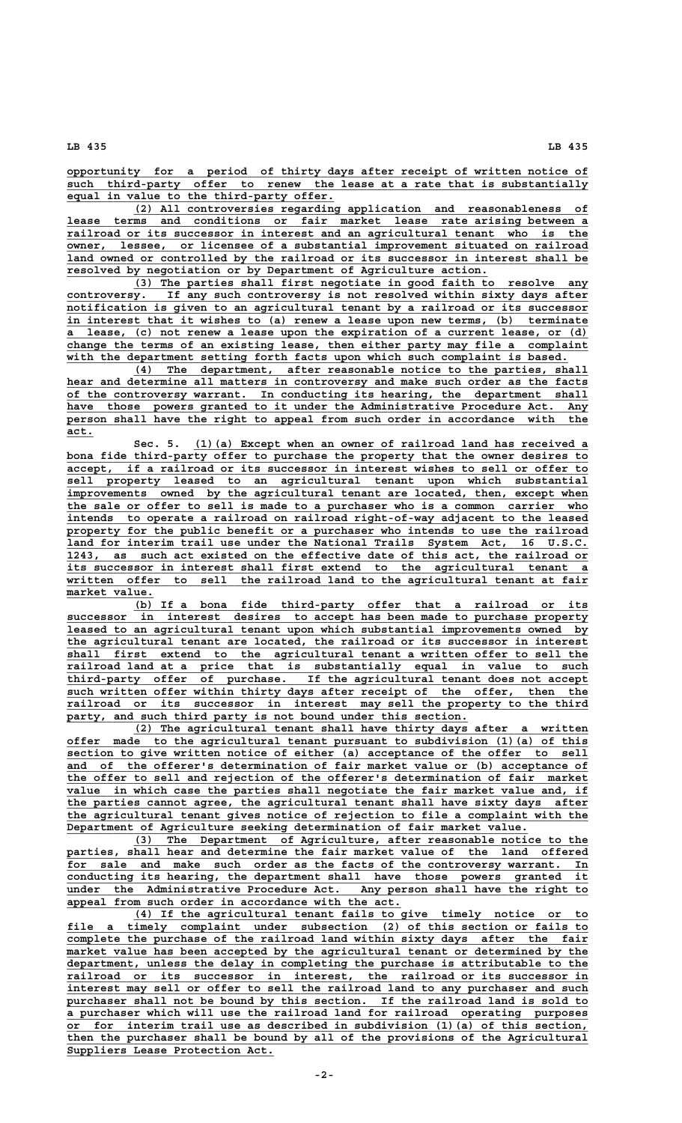**LB 435 LB 435**

 **\_\_\_\_\_\_\_\_\_\_\_\_\_\_\_\_\_\_\_\_\_\_\_\_\_\_\_\_\_\_\_\_\_\_\_\_\_\_\_\_\_\_\_\_\_\_\_\_\_\_\_\_\_\_\_\_\_\_\_\_\_\_\_\_\_\_\_\_\_\_\_\_\_\_\_\_\_\_ opportunity for a period of thirty days after receipt of written notice of** such third-party offer to renew the lease at a rate that is substantially  **\_\_\_\_\_\_\_\_\_\_\_\_\_\_\_\_\_\_\_\_\_\_\_\_\_\_\_\_\_\_\_\_\_\_\_\_\_\_\_\_ equal in value to the third-party offer.**

 **\_\_\_\_\_\_\_\_\_\_\_\_\_\_\_\_\_\_\_\_\_\_\_\_\_\_\_\_\_\_\_\_\_\_\_\_\_\_\_\_\_\_\_\_\_\_\_\_\_\_\_\_\_\_\_\_\_\_\_\_\_\_\_\_\_\_\_\_ (2) All controversies regarding application and reasonableness of \_\_\_\_\_\_\_\_\_\_\_\_\_\_\_\_\_\_\_\_\_\_\_\_\_\_\_\_\_\_\_\_\_\_\_\_\_\_\_\_\_\_\_\_\_\_\_\_\_\_\_\_\_\_\_\_\_\_\_\_\_\_\_\_\_\_\_\_\_\_\_\_\_\_\_\_\_\_ lease terms and conditions or fair market lease rate arising between a \_\_\_\_\_\_\_\_\_\_\_\_\_\_\_\_\_\_\_\_\_\_\_\_\_\_\_\_\_\_\_\_\_\_\_\_\_\_\_\_\_\_\_\_\_\_\_\_\_\_\_\_\_\_\_\_\_\_\_\_\_\_\_\_\_\_\_\_\_\_\_\_\_\_\_\_\_\_ railroad or its successor in interest and an agricultural tenant who is the \_\_\_\_\_\_\_\_\_\_\_\_\_\_\_\_\_\_\_\_\_\_\_\_\_\_\_\_\_\_\_\_\_\_\_\_\_\_\_\_\_\_\_\_\_\_\_\_\_\_\_\_\_\_\_\_\_\_\_\_\_\_\_\_\_\_\_\_\_\_\_\_\_\_\_\_\_\_ owner, lessee, or licensee of a substantial improvement situated on railroad** land owned or controlled by the railroad or its successor in interest shall be  **\_\_\_\_\_\_\_\_\_\_\_\_\_\_\_\_\_\_\_\_\_\_\_\_\_\_\_\_\_\_\_\_\_\_\_\_\_\_\_\_\_\_\_\_\_\_\_\_\_\_\_\_\_\_\_\_\_\_\_\_\_\_\_ resolved by negotiation or by Department of Agriculture action.**

(3) The parties shall first negotiate in good faith to resolve any<br>controversy. If any such controversy is not resolved within sixty days after  **\_\_\_\_\_\_\_\_\_\_\_\_\_\_\_\_\_\_\_\_\_\_\_\_\_\_\_\_\_\_\_\_\_\_\_\_\_\_\_\_\_\_\_\_\_\_\_\_\_\_\_\_\_\_\_\_\_\_\_\_\_\_\_\_\_\_\_\_\_\_\_\_\_\_\_\_\_\_ controversy. If any such controversy is not resolved within sixty days after \_\_\_\_\_\_\_\_\_\_\_\_\_\_\_\_\_\_\_\_\_\_\_\_\_\_\_\_\_\_\_\_\_\_\_\_\_\_\_\_\_\_\_\_\_\_\_\_\_\_\_\_\_\_\_\_\_\_\_\_\_\_\_\_\_\_\_\_\_\_\_\_\_\_\_\_\_\_ notification is given to an agricultural tenant by a railroad or its successor \_\_\_\_\_\_\_\_\_\_\_\_\_\_\_\_\_\_\_\_\_\_\_\_\_\_\_\_\_\_\_\_\_\_\_\_\_\_\_\_\_\_\_\_\_\_\_\_\_\_\_\_\_\_\_\_\_\_\_\_\_\_\_\_\_\_\_\_\_\_\_\_\_\_\_\_\_\_ in interest that it wishes to (a) renew a lease upon new terms, (b) terminate \_\_\_\_\_\_\_\_\_\_\_\_\_\_\_\_\_\_\_\_\_\_\_\_\_\_\_\_\_\_\_\_\_\_\_\_\_\_\_\_\_\_\_\_\_\_\_\_\_\_\_\_\_\_\_\_\_\_\_\_\_\_\_\_\_\_\_\_\_\_\_\_\_\_\_\_\_\_ a lease, (c) not renew a lease upon the expiration of a current lease, or (d) \_\_\_\_\_\_\_\_\_\_\_\_\_\_\_\_\_\_\_\_\_\_\_\_\_\_\_\_\_\_\_\_\_\_\_\_\_\_\_\_\_\_\_\_\_\_\_\_\_\_\_\_\_\_\_\_\_\_\_\_\_\_\_\_\_\_\_\_\_\_\_\_\_\_\_\_\_\_ change the terms of an existing lease, then either party may file a complaint \_\_\_\_\_\_\_\_\_\_\_\_\_\_\_\_\_\_\_\_\_\_\_\_\_\_\_\_\_\_\_\_\_\_\_\_\_\_\_\_\_\_\_\_\_\_\_\_\_\_\_\_\_\_\_\_\_\_\_\_\_\_\_\_\_\_\_\_\_\_\_\_\_\_\_ with the department setting forth facts upon which such complaint is based.**

 **\_\_\_\_\_\_\_\_\_\_\_\_\_\_\_\_\_\_\_\_\_\_\_\_\_\_\_\_\_\_\_\_\_\_\_\_\_\_\_\_\_\_\_\_\_\_\_\_\_\_\_\_\_\_\_\_\_\_\_\_\_\_\_\_\_\_\_\_ (4) The department, after reasonable notice to the parties, shall** hear and determine all matters in controversy and make such order as the facts of the controversy warrant. In conducting its hearing, the department shall  $have$  those powers granted to it under the Administrative Procedure Act. Any  **\_\_\_\_\_\_\_\_\_\_\_\_\_\_\_\_\_\_\_\_\_\_\_\_\_\_\_\_\_\_\_\_\_\_\_\_\_\_\_\_\_\_\_\_\_\_\_\_\_\_\_\_\_\_\_\_\_\_\_\_\_\_\_\_\_\_\_\_\_\_\_\_\_\_\_\_\_\_ person shall have the right to appeal from such order in accordance with the act.\_\_\_\_**

 **\_\_\_\_\_\_\_\_\_\_\_\_\_\_\_\_\_\_\_\_\_\_\_\_\_\_\_\_\_\_\_\_\_\_\_\_\_\_\_\_\_\_\_\_\_\_\_\_\_\_\_\_\_\_\_\_\_\_\_ Sec. 5. (1)(a) Except when an owner of railroad land has received a** bona fide third-party offer to purchase the property that the owner desires to  **\_\_\_\_\_\_\_\_\_\_\_\_\_\_\_\_\_\_\_\_\_\_\_\_\_\_\_\_\_\_\_\_\_\_\_\_\_\_\_\_\_\_\_\_\_\_\_\_\_\_\_\_\_\_\_\_\_\_\_\_\_\_\_\_\_\_\_\_\_\_\_\_\_\_\_\_\_\_ accept, if a railroad or its successor in interest wishes to sell or offer to \_\_\_\_\_\_\_\_\_\_\_\_\_\_\_\_\_\_\_\_\_\_\_\_\_\_\_\_\_\_\_\_\_\_\_\_\_\_\_\_\_\_\_\_\_\_\_\_\_\_\_\_\_\_\_\_\_\_\_\_\_\_\_\_\_\_\_\_\_\_\_\_\_\_\_\_\_\_ sell property leased to an agricultural tenant upon which substantial** improvements owned by the agricultural tenant are located, then, except when  **\_\_\_\_\_\_\_\_\_\_\_\_\_\_\_\_\_\_\_\_\_\_\_\_\_\_\_\_\_\_\_\_\_\_\_\_\_\_\_\_\_\_\_\_\_\_\_\_\_\_\_\_\_\_\_\_\_\_\_\_\_\_\_\_\_\_\_\_\_\_\_\_\_\_\_\_\_\_ the sale or offer to sell is made to a purchaser who is a common carrier who \_\_\_\_\_\_\_\_\_\_\_\_\_\_\_\_\_\_\_\_\_\_\_\_\_\_\_\_\_\_\_\_\_\_\_\_\_\_\_\_\_\_\_\_\_\_\_\_\_\_\_\_\_\_\_\_\_\_\_\_\_\_\_\_\_\_\_\_\_\_\_\_\_\_\_\_\_\_ intends to operate a railroad on railroad right-of-way adjacent to the leased \_\_\_\_\_\_\_\_\_\_\_\_\_\_\_\_\_\_\_\_\_\_\_\_\_\_\_\_\_\_\_\_\_\_\_\_\_\_\_\_\_\_\_\_\_\_\_\_\_\_\_\_\_\_\_\_\_\_\_\_\_\_\_\_\_\_\_\_\_\_\_\_\_\_\_\_\_\_ property for the public benefit or a purchaser who intends to use the railroad \_\_\_\_\_\_\_\_\_\_\_\_\_\_\_\_\_\_\_\_\_\_\_\_\_\_\_\_\_\_\_\_\_\_\_\_\_\_\_\_\_\_\_\_\_\_\_\_\_\_\_\_\_\_\_\_\_\_\_\_\_\_\_\_\_\_\_\_\_\_\_\_\_\_\_\_\_\_ land for interim trail use under the National Trails System Act, 16 U.S.C. \_\_\_\_\_\_\_\_\_\_\_\_\_\_\_\_\_\_\_\_\_\_\_\_\_\_\_\_\_\_\_\_\_\_\_\_\_\_\_\_\_\_\_\_\_\_\_\_\_\_\_\_\_\_\_\_\_\_\_\_\_\_\_\_\_\_\_\_\_\_\_\_\_\_\_\_\_\_ 1243, as such act existed on the effective date of this act, the railroad or \_\_\_\_\_\_\_\_\_\_\_\_\_\_\_\_\_\_\_\_\_\_\_\_\_\_\_\_\_\_\_\_\_\_\_\_\_\_\_\_\_\_\_\_\_\_\_\_\_\_\_\_\_\_\_\_\_\_\_\_\_\_\_\_\_\_\_\_\_\_\_\_\_\_\_\_\_\_ its successor in interest shall first extend to the agricultural tenant a \_\_\_\_\_\_\_\_\_\_\_\_\_\_\_\_\_\_\_\_\_\_\_\_\_\_\_\_\_\_\_\_\_\_\_\_\_\_\_\_\_\_\_\_\_\_\_\_\_\_\_\_\_\_\_\_\_\_\_\_\_\_\_\_\_\_\_\_\_\_\_\_\_\_\_\_\_\_ written offer to sell the railroad land to the agricultural tenant at fair market value. \_\_\_\_\_\_\_\_\_\_\_\_\_**

 **\_\_\_\_\_\_\_\_\_\_\_\_\_\_\_\_\_\_\_\_\_\_\_\_\_\_\_\_\_\_\_\_\_\_\_\_\_\_\_\_\_\_\_\_\_\_\_\_\_\_\_\_\_\_\_\_\_\_\_\_\_\_\_\_\_\_\_\_ (b) If a bona fide third-party offer that a railroad or its \_\_\_\_\_\_\_\_\_\_\_\_\_\_\_\_\_\_\_\_\_\_\_\_\_\_\_\_\_\_\_\_\_\_\_\_\_\_\_\_\_\_\_\_\_\_\_\_\_\_\_\_\_\_\_\_\_\_\_\_\_\_\_\_\_\_\_\_\_\_\_\_\_\_\_\_\_\_ successor in interest desires to accept has been made to purchase property \_\_\_\_\_\_\_\_\_\_\_\_\_\_\_\_\_\_\_\_\_\_\_\_\_\_\_\_\_\_\_\_\_\_\_\_\_\_\_\_\_\_\_\_\_\_\_\_\_\_\_\_\_\_\_\_\_\_\_\_\_\_\_\_\_\_\_\_\_\_\_\_\_\_\_\_\_\_ leased to an agricultural tenant upon which substantial improvements owned by \_\_\_\_\_\_\_\_\_\_\_\_\_\_\_\_\_\_\_\_\_\_\_\_\_\_\_\_\_\_\_\_\_\_\_\_\_\_\_\_\_\_\_\_\_\_\_\_\_\_\_\_\_\_\_\_\_\_\_\_\_\_\_\_\_\_\_\_\_\_\_\_\_\_\_\_\_\_ the agricultural tenant are located, the railroad or its successor in interest \_\_\_\_\_\_\_\_\_\_\_\_\_\_\_\_\_\_\_\_\_\_\_\_\_\_\_\_\_\_\_\_\_\_\_\_\_\_\_\_\_\_\_\_\_\_\_\_\_\_\_\_\_\_\_\_\_\_\_\_\_\_\_\_\_\_\_\_\_\_\_\_\_\_\_\_\_\_ shall first extend to the agricultural tenant a written offer to sell the \_\_\_\_\_\_\_\_\_\_\_\_\_\_\_\_\_\_\_\_\_\_\_\_\_\_\_\_\_\_\_\_\_\_\_\_\_\_\_\_\_\_\_\_\_\_\_\_\_\_\_\_\_\_\_\_\_\_\_\_\_\_\_\_\_\_\_\_\_\_\_\_\_\_\_\_\_\_ railroad land at a price that is substantially equal in value to such \_\_\_\_\_\_\_\_\_\_\_\_\_\_\_\_\_\_\_\_\_\_\_\_\_\_\_\_\_\_\_\_\_\_\_\_\_\_\_\_\_\_\_\_\_\_\_\_\_\_\_\_\_\_\_\_\_\_\_\_\_\_\_\_\_\_\_\_\_\_\_\_\_\_\_\_\_\_ third-party offer of purchase. If the agricultural tenant does not accept \_\_\_\_\_\_\_\_\_\_\_\_\_\_\_\_\_\_\_\_\_\_\_\_\_\_\_\_\_\_\_\_\_\_\_\_\_\_\_\_\_\_\_\_\_\_\_\_\_\_\_\_\_\_\_\_\_\_\_\_\_\_\_\_\_\_\_\_\_\_\_\_\_\_\_\_\_\_ such written offer within thirty days after receipt of the offer, then the \_\_\_\_\_\_\_\_\_\_\_\_\_\_\_\_\_\_\_\_\_\_\_\_\_\_\_\_\_\_\_\_\_\_\_\_\_\_\_\_\_\_\_\_\_\_\_\_\_\_\_\_\_\_\_\_\_\_\_\_\_\_\_\_\_\_\_\_\_\_\_\_\_\_\_\_\_\_ railroad or its successor in interest may sell the property to the third \_\_\_\_\_\_\_\_\_\_\_\_\_\_\_\_\_\_\_\_\_\_\_\_\_\_\_\_\_\_\_\_\_\_\_\_\_\_\_\_\_\_\_\_\_\_\_\_\_\_\_\_\_\_\_\_\_\_\_\_ party, and such third party is not bound under this section.**

 **\_\_\_\_\_\_\_\_\_\_\_\_\_\_\_\_\_\_\_\_\_\_\_\_\_\_\_\_\_\_\_\_\_\_\_\_\_\_\_\_\_\_\_\_\_\_\_\_\_\_\_\_\_\_\_\_\_\_\_\_\_\_\_\_\_\_\_\_ (2) The agricultural tenant shall have thirty days after a written \_\_\_\_\_\_\_\_\_\_\_\_\_\_\_\_\_\_\_\_\_\_\_\_\_\_\_\_\_\_\_\_\_\_\_\_\_\_\_\_\_\_\_\_\_\_\_\_\_\_\_\_\_\_\_\_\_\_\_\_\_\_\_\_\_\_\_\_\_\_\_\_\_\_\_\_\_\_ offer made to the agricultural tenant pursuant to subdivision (1)(a) of this \_\_\_\_\_\_\_\_\_\_\_\_\_\_\_\_\_\_\_\_\_\_\_\_\_\_\_\_\_\_\_\_\_\_\_\_\_\_\_\_\_\_\_\_\_\_\_\_\_\_\_\_\_\_\_\_\_\_\_\_\_\_\_\_\_\_\_\_\_\_\_\_\_\_\_\_\_\_ section to give written notice of either (a) acceptance of the offer to sell \_\_\_\_\_\_\_\_\_\_\_\_\_\_\_\_\_\_\_\_\_\_\_\_\_\_\_\_\_\_\_\_\_\_\_\_\_\_\_\_\_\_\_\_\_\_\_\_\_\_\_\_\_\_\_\_\_\_\_\_\_\_\_\_\_\_\_\_\_\_\_\_\_\_\_\_\_\_ and of the offerer's determination of fair market value or (b) acceptance of \_\_\_\_\_\_\_\_\_\_\_\_\_\_\_\_\_\_\_\_\_\_\_\_\_\_\_\_\_\_\_\_\_\_\_\_\_\_\_\_\_\_\_\_\_\_\_\_\_\_\_\_\_\_\_\_\_\_\_\_\_\_\_\_\_\_\_\_\_\_\_\_\_\_\_\_\_\_ the offer to sell and rejection of the offerer's determination of fair market** value in which case the parties shall negotiate the fair market value and, if  **\_\_\_\_\_\_\_\_\_\_\_\_\_\_\_\_\_\_\_\_\_\_\_\_\_\_\_\_\_\_\_\_\_\_\_\_\_\_\_\_\_\_\_\_\_\_\_\_\_\_\_\_\_\_\_\_\_\_\_\_\_\_\_\_\_\_\_\_\_\_\_\_\_\_\_\_\_\_ the parties cannot agree, the agricultural tenant shall have sixty days after \_\_\_\_\_\_\_\_\_\_\_\_\_\_\_\_\_\_\_\_\_\_\_\_\_\_\_\_\_\_\_\_\_\_\_\_\_\_\_\_\_\_\_\_\_\_\_\_\_\_\_\_\_\_\_\_\_\_\_\_\_\_\_\_\_\_\_\_\_\_\_\_\_\_\_\_\_\_ the agricultural tenant gives notice of rejection to file a complaint with the \_\_\_\_\_\_\_\_\_\_\_\_\_\_\_\_\_\_\_\_\_\_\_\_\_\_\_\_\_\_\_\_\_\_\_\_\_\_\_\_\_\_\_\_\_\_\_\_\_\_\_\_\_\_\_\_\_\_\_\_\_\_\_\_\_\_\_\_\_ Department of Agriculture seeking determination of fair market value.**

 **\_\_\_\_\_\_\_\_\_\_\_\_\_\_\_\_\_\_\_\_\_\_\_\_\_\_\_\_\_\_\_\_\_\_\_\_\_\_\_\_\_\_\_\_\_\_\_\_\_\_\_\_\_\_\_\_\_\_\_\_\_\_\_\_\_\_\_\_ (3) The Department of Agriculture, after reasonable notice to the \_\_\_\_\_\_\_\_\_\_\_\_\_\_\_\_\_\_\_\_\_\_\_\_\_\_\_\_\_\_\_\_\_\_\_\_\_\_\_\_\_\_\_\_\_\_\_\_\_\_\_\_\_\_\_\_\_\_\_\_\_\_\_\_\_\_\_\_\_\_\_\_\_\_\_\_\_\_ parties, shall hear and determine the fair market value of the land offered** for sale and make such order as the facts of the controversy warrant. In  **\_\_\_\_\_\_\_\_\_\_\_\_\_\_\_\_\_\_\_\_\_\_\_\_\_\_\_\_\_\_\_\_\_\_\_\_\_\_\_\_\_\_\_\_\_\_\_\_\_\_\_\_\_\_\_\_\_\_\_\_\_\_\_\_\_\_\_\_\_\_\_\_\_\_\_\_\_\_ conducting its hearing, the department shall have those powers granted it \_\_\_\_\_\_\_\_\_\_\_\_\_\_\_\_\_\_\_\_\_\_\_\_\_\_\_\_\_\_\_\_\_\_\_\_\_\_\_\_\_\_\_\_\_\_\_\_\_\_\_\_\_\_\_\_\_\_\_\_\_\_\_\_\_\_\_\_\_\_\_\_\_\_\_\_\_\_ under the Administrative Procedure Act. Any person shall have the right to \_\_\_\_\_\_\_\_\_\_\_\_\_\_\_\_\_\_\_\_\_\_\_\_\_\_\_\_\_\_\_\_\_\_\_\_\_\_\_\_\_\_\_\_\_\_\_\_\_\_ appeal from such order in accordance with the act.**

 **\_\_\_\_\_\_\_\_\_\_\_\_\_\_\_\_\_\_\_\_\_\_\_\_\_\_\_\_\_\_\_\_\_\_\_\_\_\_\_\_\_\_\_\_\_\_\_\_\_\_\_\_\_\_\_\_\_\_\_\_\_\_\_\_\_\_\_\_ (4) If the agricultural tenant fails to give timely notice or to \_\_\_\_\_\_\_\_\_\_\_\_\_\_\_\_\_\_\_\_\_\_\_\_\_\_\_\_\_\_\_\_\_\_\_\_\_\_\_\_\_\_\_\_\_\_\_\_\_\_\_\_\_\_\_\_\_\_\_\_\_\_\_\_\_\_\_\_\_\_\_\_\_\_\_\_\_\_ file a timely complaint under subsection (2) of this section or fails to** complete the purchase of the railroad land within sixty days after the fair  $m$ arket value has been accepted by the agricultural tenant or determined by the  **\_\_\_\_\_\_\_\_\_\_\_\_\_\_\_\_\_\_\_\_\_\_\_\_\_\_\_\_\_\_\_\_\_\_\_\_\_\_\_\_\_\_\_\_\_\_\_\_\_\_\_\_\_\_\_\_\_\_\_\_\_\_\_\_\_\_\_\_\_\_\_\_\_\_\_\_\_\_ department, unless the delay in completing the purchase is attributable to the railroad** or its successor in interest, the railroad or its successor in  **\_\_\_\_\_\_\_\_\_\_\_\_\_\_\_\_\_\_\_\_\_\_\_\_\_\_\_\_\_\_\_\_\_\_\_\_\_\_\_\_\_\_\_\_\_\_\_\_\_\_\_\_\_\_\_\_\_\_\_\_\_\_\_\_\_\_\_\_\_\_\_\_\_\_\_\_\_\_ interest may sell or offer to sell the railroad land to any purchaser and such \_\_\_\_\_\_\_\_\_\_\_\_\_\_\_\_\_\_\_\_\_\_\_\_\_\_\_\_\_\_\_\_\_\_\_\_\_\_\_\_\_\_\_\_\_\_\_\_\_\_\_\_\_\_\_\_\_\_\_\_\_\_\_\_\_\_\_\_\_\_\_\_\_\_\_\_\_\_ purchaser shall not be bound by this section. If the railroad land is sold to \_\_\_\_\_\_\_\_\_\_\_\_\_\_\_\_\_\_\_\_\_\_\_\_\_\_\_\_\_\_\_\_\_\_\_\_\_\_\_\_\_\_\_\_\_\_\_\_\_\_\_\_\_\_\_\_\_\_\_\_\_\_\_\_\_\_\_\_\_\_\_\_\_\_\_\_\_\_ a purchaser which will use the railroad land for railroad operating purposes \_\_\_\_\_\_\_\_\_\_\_\_\_\_\_\_\_\_\_\_\_\_\_\_\_\_\_\_\_\_\_\_\_\_\_\_\_\_\_\_\_\_\_\_\_\_\_\_\_\_\_\_\_\_\_\_\_\_\_\_\_\_\_\_\_\_\_\_\_\_\_\_\_\_\_\_\_\_ or for interim trail use as described in subdivision (1)(a) of this section,** then the purchaser shall be bound by all of the provisions of the Agricultural  **\_\_\_\_\_\_\_\_\_\_\_\_\_\_\_\_\_\_\_\_\_\_\_\_\_\_\_\_\_\_\_ Suppliers Lease Protection Act.**